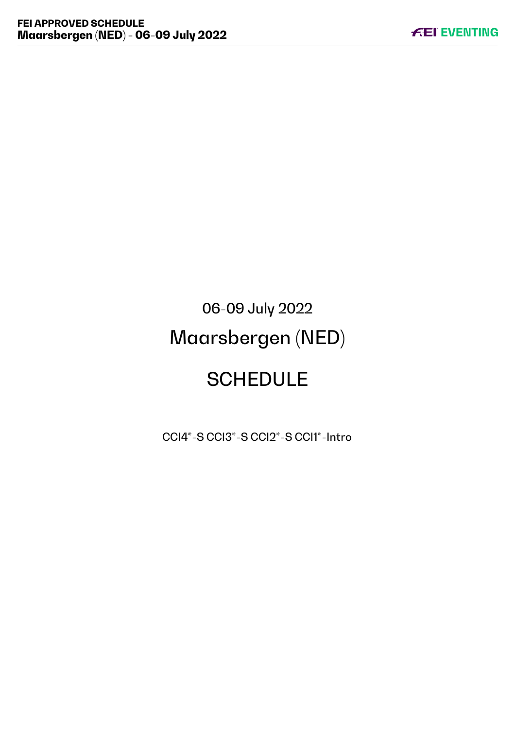# 06-09 July 2022 Maarsbergen (NED) **SCHEDULE**

CCI4\*-S CCI3\*-S CCI2\*-S CCI1\*-Intro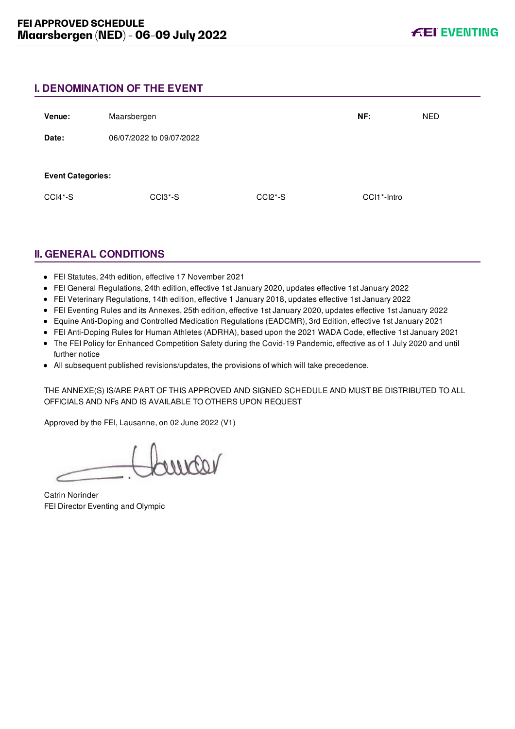# **I. DENOMINATION OF THE EVENT**

| Venue:                   | Maarsbergen              |           | NF:                      | <b>NED</b> |
|--------------------------|--------------------------|-----------|--------------------------|------------|
| Date:                    | 06/07/2022 to 09/07/2022 |           |                          |            |
| <b>Event Categories:</b> |                          |           |                          |            |
| $CCI4*-S$                | CCI3 <sup>*</sup> -S     | $CCI2*-S$ | CCI1 <sup>*</sup> -Intro |            |

# **II. GENERAL CONDITIONS**

- FEI Statutes, 24th edition, effective 17 November 2021
- FEI General Regulations, 24th edition, effective 1st January 2020, updates effective 1st January 2022
- FEI Veterinary Regulations, 14th edition, effective 1 January 2018, updates effective 1st January 2022
- FEI Eventing Rules and its Annexes, 25th edition, effective 1st January 2020, updates effective 1st January 2022
- Equine Anti-Doping and Controlled Medication Regulations (EADCMR), 3rd Edition, effective 1st January 2021
- FEI Anti-Doping Rules for Human Athletes (ADRHA), based upon the 2021 WADA Code, effective 1st January 2021
- The FEI Policy for Enhanced Competition Safety during the Covid-19 Pandemic, effective as of 1 July 2020 and until further notice
- All subsequent published revisions/updates, the provisions of which will take precedence.

THE ANNEXE(S) IS/ARE PART OF THIS APPROVED AND SIGNED SCHEDULE AND MUST BE DISTRIBUTED TO ALL OFFICIALS AND NFs AND IS AVAILABLE TO OTHERS UPON REQUEST

Approved by the FEI, Lausanne, on 02 June 2022 (V1)

voorme

Catrin Norinder FEI Director Eventing and Olympic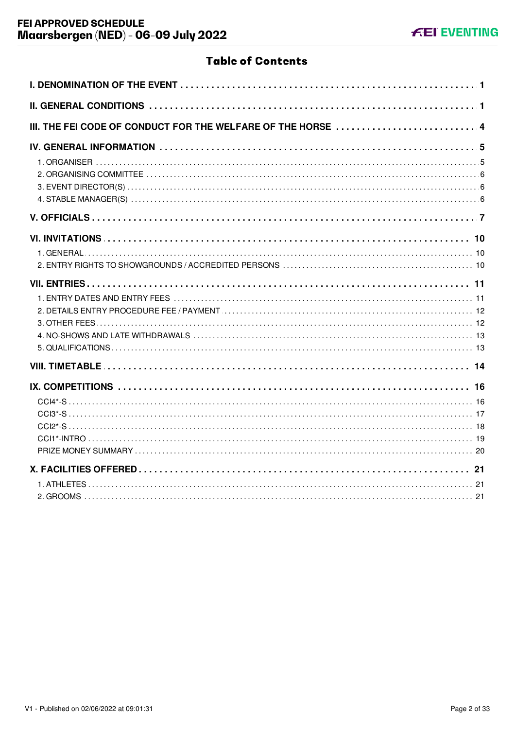# **Table of Contents**

| III. THE FEI CODE OF CONDUCT FOR THE WELFARE OF THE HORSE  4 |
|--------------------------------------------------------------|
|                                                              |
|                                                              |
|                                                              |
|                                                              |
|                                                              |
|                                                              |
|                                                              |
|                                                              |
|                                                              |
|                                                              |
|                                                              |
|                                                              |
|                                                              |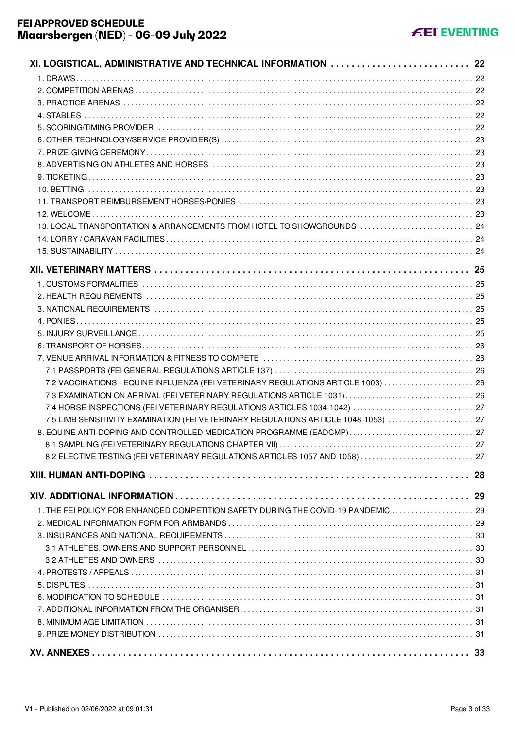| XI. LOGISTICAL, ADMINISTRATIVE AND TECHNICAL INFORMATION  22                        |  |
|-------------------------------------------------------------------------------------|--|
|                                                                                     |  |
|                                                                                     |  |
|                                                                                     |  |
|                                                                                     |  |
|                                                                                     |  |
|                                                                                     |  |
|                                                                                     |  |
|                                                                                     |  |
|                                                                                     |  |
|                                                                                     |  |
|                                                                                     |  |
|                                                                                     |  |
| 13. LOCAL TRANSPORTATION & ARRANGEMENTS FROM HOTEL TO SHOWGROUNDS  24               |  |
|                                                                                     |  |
|                                                                                     |  |
|                                                                                     |  |
|                                                                                     |  |
|                                                                                     |  |
|                                                                                     |  |
|                                                                                     |  |
|                                                                                     |  |
|                                                                                     |  |
|                                                                                     |  |
|                                                                                     |  |
| 7.2 VACCINATIONS - EQUINE INFLUENZA (FEI VETERINARY REGULATIONS ARTICLE 1003)  26   |  |
|                                                                                     |  |
| 7.4 HORSE INSPECTIONS (FEI VETERINARY REGULATIONS ARTICLES 1034-1042)  27           |  |
| 7.5 LIMB SENSITIVITY EXAMINATION (FEI VETERINARY REGULATIONS ARTICLE 1048-1053)  27 |  |
| 8. EQUINE ANTI-DOPING AND CONTROLLED MEDICATION PROGRAMME (EADCMP)  27              |  |
| 27                                                                                  |  |
| 8.2 ELECTIVE TESTING (FEI VETERINARY REGULATIONS ARTICLES 1057 AND 1058)  27        |  |
|                                                                                     |  |
|                                                                                     |  |
|                                                                                     |  |
| 1. THE FEI POLICY FOR ENHANCED COMPETITION SAFETY DURING THE COVID-19 PANDEMIC  29  |  |
|                                                                                     |  |
|                                                                                     |  |
|                                                                                     |  |
|                                                                                     |  |
|                                                                                     |  |
|                                                                                     |  |
|                                                                                     |  |
|                                                                                     |  |
|                                                                                     |  |
|                                                                                     |  |
|                                                                                     |  |
|                                                                                     |  |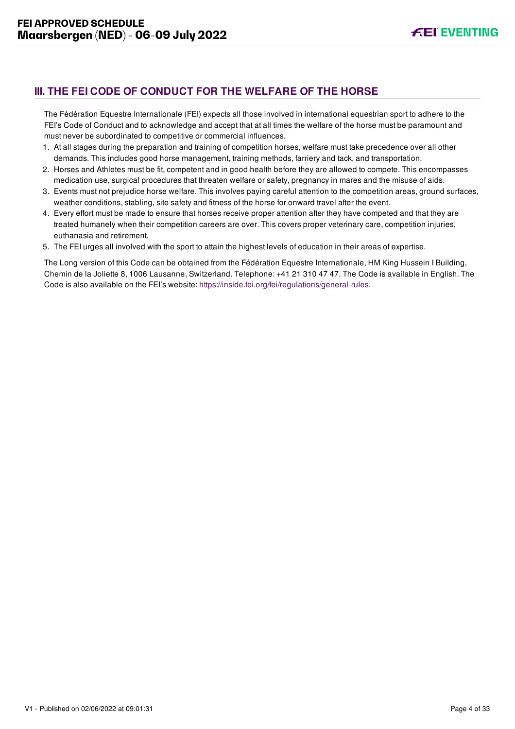# <span id="page-4-0"></span>**III. THE FEI CODE OF CONDUCT FOR THE WELFARE OF THE HORSE**

The Fédération Equestre Internationale (FEI) expects all those involved in international equestrian sport to adhere to the FEI's Code of Conduct and to acknowledge and accept that at all times the welfare of the horse must be paramount and must never be subordinated to competitive or commercial influences.

- 1. At all stages during the preparation and training of competition horses, welfare must take precedence over all other demands. This includes good horse management, training methods, farriery and tack, and transportation.
- 2. Horses and Athletes must be fit, competent and in good health before they are allowed to compete. This encompasses medication use, surgical procedures that threaten welfare or safety, pregnancy in mares and the misuse of aids.
- 3. Events must not prejudice horse welfare. This involves paying careful attention to the competition areas, ground surfaces, weather conditions, stabling, site safety and fitness of the horse for onward travel after the event.
- 4. Every effort must be made to ensure that horses receive proper attention after they have competed and that they are treated humanely when their competition careers are over. This covers proper veterinary care, competition injuries, euthanasia and retirement.
- 5. The FEI urges all involved with the sport to attain the highest levels of education in their areas of expertise.

The Long version of this Code can be obtained from the Fédération Equestre Internationale, HM King Hussein I Building, Chemin de la Joliette 8, 1006 Lausanne, Switzerland. Telephone: +41 21 310 47 47. The Code is available in English. The Code is also available on the FEI's website:<https://inside.fei.org/fei/regulations/general-rules>.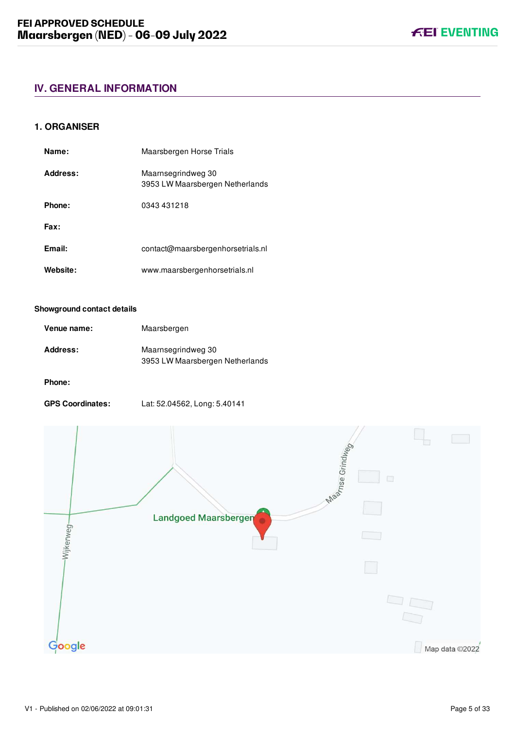# <span id="page-5-0"></span>**IV. GENERAL INFORMATION**

# <span id="page-5-1"></span>**1. ORGANISER**

| Name:    | Maarsbergen Horse Trials                              |
|----------|-------------------------------------------------------|
| Address: | Maarnsegrindweg 30<br>3953 LW Maarsbergen Netherlands |
| Phone:   | 0343 431218                                           |
| Fax:     |                                                       |
| Email:   | contact@maarsbergenhorsetrials.nl                     |
| Website: | www.maarsbergenhorsetrials.nl                         |

#### **Showground contact details**

| Venue name: | Maarsbergen                                           |
|-------------|-------------------------------------------------------|
| Address:    | Maarnsegrindweg 30<br>3953 LW Maarsbergen Netherlands |

#### **Phone:**

**GPS Coordinates:** Lat: 52.04562, Long: 5.40141



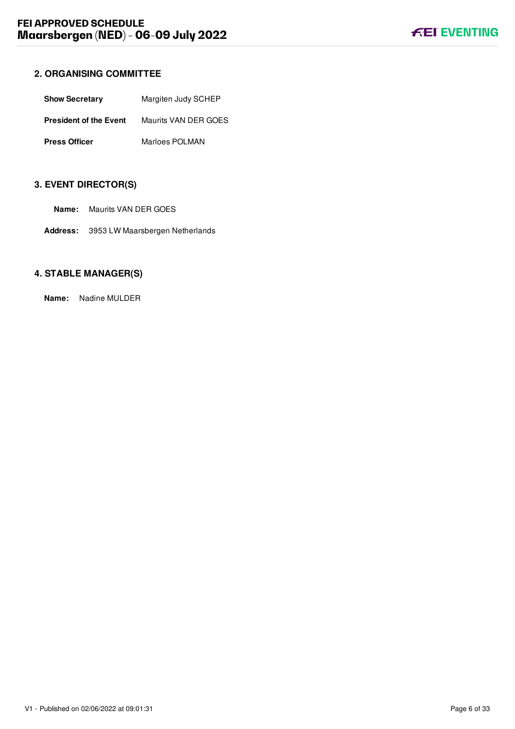# <span id="page-6-0"></span>**2. ORGANISING COMMITTEE**

| <b>Show Secretary</b>         | Margiten Judy SCHEP  |  |
|-------------------------------|----------------------|--|
| <b>President of the Event</b> | Maurits VAN DER GOES |  |
| <b>Press Officer</b>          | Marloes POLMAN       |  |

# <span id="page-6-1"></span>**3. EVENT DIRECTOR(S)**

- **Name:** Maurits VAN DER GOES
- **Address:** 3953 LW Maarsbergen Netherlands

# <span id="page-6-2"></span>**4. STABLE MANAGER(S)**

**Name:** Nadine MULDER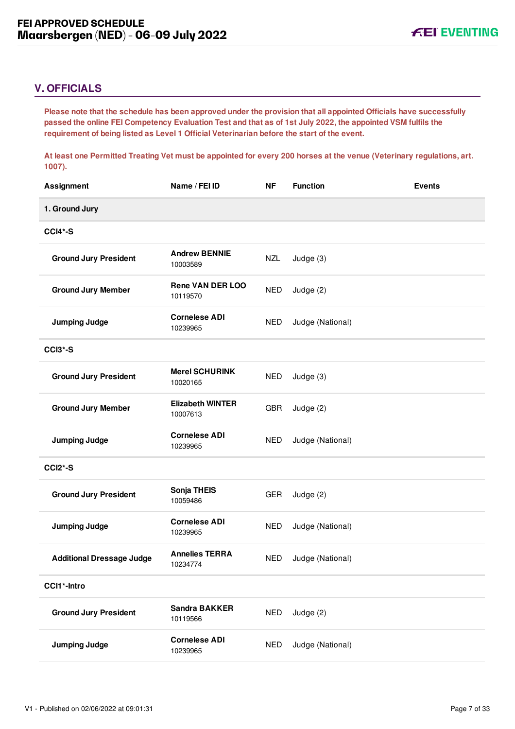# <span id="page-7-0"></span>**V. OFFICIALS**

**Please note that the schedule has been approved under the provision that all appointed Officials have successfully passed the online FEI Competency Evaluation Test and that as of 1st July 2022, the appointed VSM fulfils the requirement of being listed as Level 1 Official Veterinarian before the start of the event.** 

**At least one Permitted Treating Vet must be appointed for every 200 horses at the venue (Veterinary regulations, art. 1007).**

| <b>Assignment</b>                | Name / FEI ID                       | <b>NF</b>  | <b>Function</b>  | <b>Events</b> |
|----------------------------------|-------------------------------------|------------|------------------|---------------|
| 1. Ground Jury                   |                                     |            |                  |               |
| <b>CCI4*-S</b>                   |                                     |            |                  |               |
| <b>Ground Jury President</b>     | <b>Andrew BENNIE</b><br>10003589    | <b>NZL</b> | Judge (3)        |               |
| <b>Ground Jury Member</b>        | <b>Rene VAN DER LOO</b><br>10119570 | <b>NED</b> | Judge (2)        |               |
| <b>Jumping Judge</b>             | <b>Cornelese ADI</b><br>10239965    | <b>NED</b> | Judge (National) |               |
| CCI <sub>3</sub> *-S             |                                     |            |                  |               |
| <b>Ground Jury President</b>     | <b>Merel SCHURINK</b><br>10020165   | <b>NED</b> | Judge (3)        |               |
| <b>Ground Jury Member</b>        | <b>Elizabeth WINTER</b><br>10007613 | <b>GBR</b> | Judge (2)        |               |
| <b>Jumping Judge</b>             | <b>Cornelese ADI</b><br>10239965    | <b>NED</b> | Judge (National) |               |
| <b>CCI2*-S</b>                   |                                     |            |                  |               |
| <b>Ground Jury President</b>     | Sonja THEIS<br>10059486             | <b>GER</b> | Judge (2)        |               |
| <b>Jumping Judge</b>             | <b>Cornelese ADI</b><br>10239965    | <b>NED</b> | Judge (National) |               |
| <b>Additional Dressage Judge</b> | <b>Annelies TERRA</b><br>10234774   | <b>NED</b> | Judge (National) |               |
| CCI1*-Intro                      |                                     |            |                  |               |
| <b>Ground Jury President</b>     | <b>Sandra BAKKER</b><br>10119566    | <b>NED</b> | Judge (2)        |               |
| <b>Jumping Judge</b>             | <b>Cornelese ADI</b><br>10239965    | <b>NED</b> | Judge (National) |               |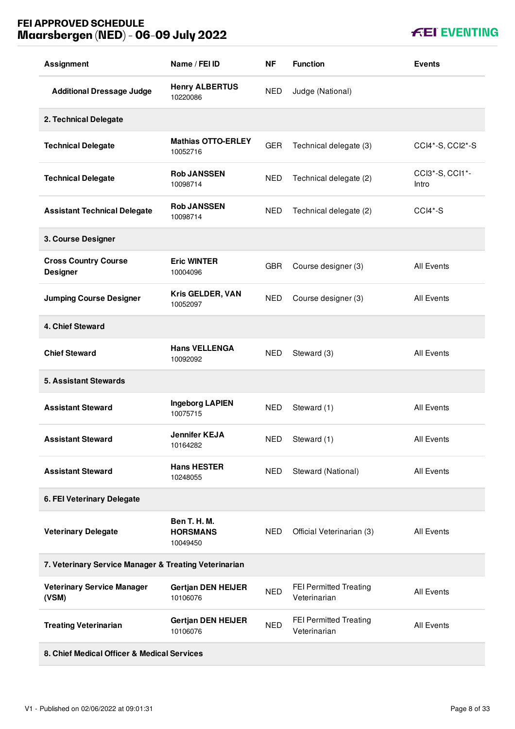# **FEI APPROVED SCHEDULE Maarsbergen (NED) - 06-09 July 2022**

| <b>Assignment</b>                                     | Name / FEI ID                               | <b>NF</b>  | <b>Function</b>                        | <b>Events</b>            |
|-------------------------------------------------------|---------------------------------------------|------------|----------------------------------------|--------------------------|
| <b>Additional Dressage Judge</b>                      | <b>Henry ALBERTUS</b><br>10220086           | <b>NED</b> | Judge (National)                       |                          |
| 2. Technical Delegate                                 |                                             |            |                                        |                          |
| <b>Technical Delegate</b>                             | <b>Mathias OTTO-ERLEY</b><br>10052716       | <b>GER</b> | Technical delegate (3)                 | CCI4*-S, CCI2*-S         |
| <b>Technical Delegate</b>                             | <b>Rob JANSSEN</b><br>10098714              | <b>NED</b> | Technical delegate (2)                 | CCI3*-S, CCI1*-<br>Intro |
| <b>Assistant Technical Delegate</b>                   | <b>Rob JANSSEN</b><br>10098714              | <b>NED</b> | Technical delegate (2)                 | CCI4*-S                  |
| 3. Course Designer                                    |                                             |            |                                        |                          |
| <b>Cross Country Course</b><br><b>Designer</b>        | <b>Eric WINTER</b><br>10004096              | <b>GBR</b> | Course designer (3)                    | <b>All Events</b>        |
| <b>Jumping Course Designer</b>                        | Kris GELDER, VAN<br>10052097                | <b>NED</b> | Course designer (3)                    | <b>All Events</b>        |
| 4. Chief Steward                                      |                                             |            |                                        |                          |
| <b>Chief Steward</b>                                  | <b>Hans VELLENGA</b><br>10092092            | <b>NED</b> | Steward (3)                            | <b>All Events</b>        |
| <b>5. Assistant Stewards</b>                          |                                             |            |                                        |                          |
| <b>Assistant Steward</b>                              | <b>Ingeborg LAPIEN</b><br>10075715          | <b>NED</b> | Steward (1)                            | All Events               |
| <b>Assistant Steward</b>                              | <b>Jennifer KEJA</b><br>10164282            | <b>NED</b> | Steward (1)                            | <b>All Events</b>        |
| <b>Assistant Steward</b>                              | <b>Hans HESTER</b><br>10248055              | <b>NED</b> | Steward (National)                     | All Events               |
| 6. FEI Veterinary Delegate                            |                                             |            |                                        |                          |
| <b>Veterinary Delegate</b>                            | Ben T. H. M.<br><b>HORSMANS</b><br>10049450 | NED        | Official Veterinarian (3)              | All Events               |
| 7. Veterinary Service Manager & Treating Veterinarian |                                             |            |                                        |                          |
| <b>Veterinary Service Manager</b><br>(VSM)            | <b>Gertjan DEN HEIJER</b><br>10106076       | <b>NED</b> | FEI Permitted Treating<br>Veterinarian | All Events               |
| <b>Treating Veterinarian</b>                          | <b>Gertjan DEN HEIJER</b><br>10106076       | <b>NED</b> | FEI Permitted Treating<br>Veterinarian | <b>All Events</b>        |
|                                                       |                                             |            |                                        |                          |

**8. Chief Medical Officer & Medical Services**

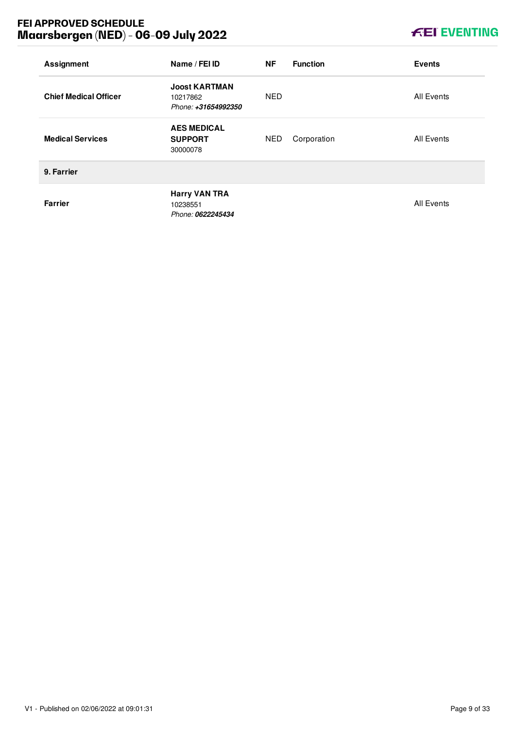# **FEI APPROVED SCHEDULE Maarsbergen (NED) - 06-09 July 2022**

# **KEI EVENTING**

| <b>Assignment</b>            | Name / FEI ID                                           | <b>NF</b>  | <b>Function</b> | <b>Events</b>     |
|------------------------------|---------------------------------------------------------|------------|-----------------|-------------------|
| <b>Chief Medical Officer</b> | <b>Joost KARTMAN</b><br>10217862<br>Phone: +31654992350 | <b>NED</b> |                 | <b>All Events</b> |
| <b>Medical Services</b>      | <b>AES MEDICAL</b><br><b>SUPPORT</b><br>30000078        | <b>NED</b> | Corporation     | All Events        |
| 9. Farrier                   |                                                         |            |                 |                   |
| <b>Farrier</b>               | <b>Harry VAN TRA</b><br>10238551<br>Phone: 0622245434   |            |                 | <b>All Events</b> |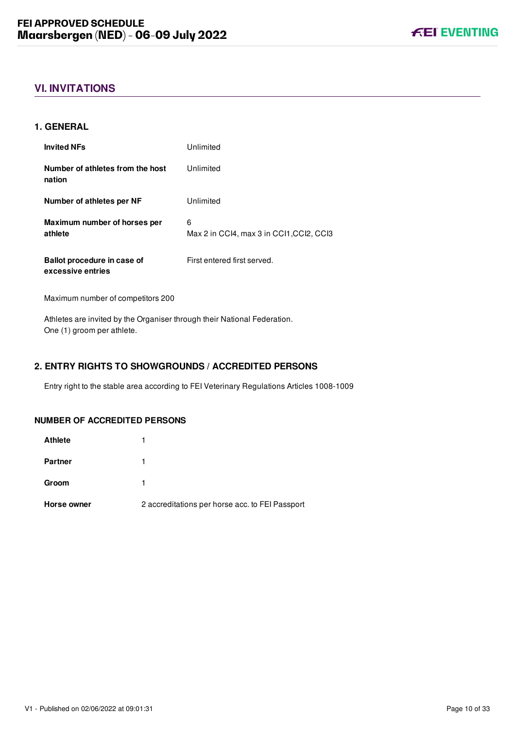# <span id="page-10-0"></span>**VI. INVITATIONS**

# <span id="page-10-1"></span>**1. GENERAL**

| <b>Invited NFs</b>                               | Unlimited                                     |
|--------------------------------------------------|-----------------------------------------------|
| Number of athletes from the host<br>nation       | Unlimited                                     |
| Number of athletes per NF                        | Unlimited                                     |
| Maximum number of horses per<br>athlete          | 6<br>Max 2 in CCI4, max 3 in CCI1, CCI2, CCI3 |
| Ballot procedure in case of<br>excessive entries | First entered first served.                   |

Maximum number of competitors 200

Athletes are invited by the Organiser through their National Federation. One (1) groom per athlete.

# <span id="page-10-2"></span>**2. ENTRY RIGHTS TO SHOWGROUNDS / ACCREDITED PERSONS**

Entry right to the stable area according to FEI Veterinary Regulations Articles 1008-1009

# **NUMBER OF ACCREDITED PERSONS**

| Horse owner    | 2 accreditations per horse acc. to FEI Passport |
|----------------|-------------------------------------------------|
| Groom          |                                                 |
| <b>Partner</b> |                                                 |
| <b>Athlete</b> |                                                 |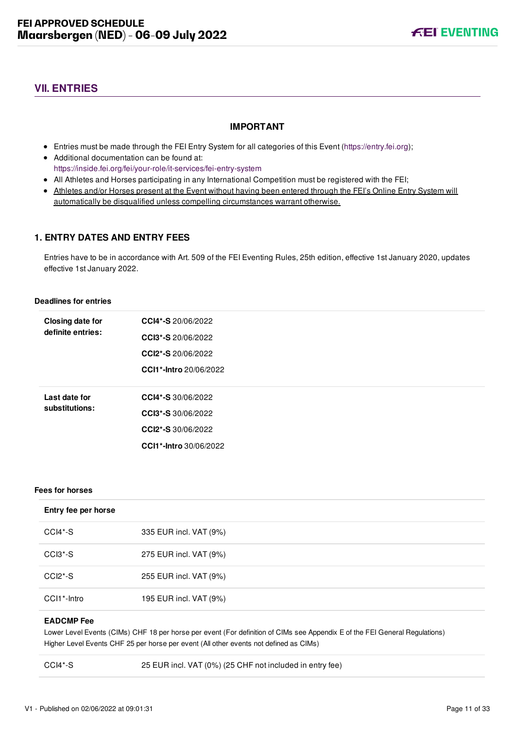# <span id="page-11-0"></span>**VII. ENTRIES**

# **IMPORTANT**

- Entries must be made through the FEI Entry System for all categories of this Event ([https://entry.fei.org\)](https://entry.fei.org);
- Additional documentation can be found at: <https://inside.fei.org/fei/your-role/it-services/fei-entry-system>
- All Athletes and Horses participating in any International Competition must be registered with the FEI;
- Athletes and/or Horses present at the Event without having been entered through the FEI's Online Entry System will automatically be disqualified unless compelling circumstances warrant otherwise.

# <span id="page-11-1"></span>**1. ENTRY DATES AND ENTRY FEES**

Entries have to be in accordance with Art. 509 of the FEI Eventing Rules, 25th edition, effective 1st January 2020, updates effective 1st January 2022.

#### **Deadlines for entries**

| <b>Closing date for</b> | CCI4*-S 20/06/2022            |
|-------------------------|-------------------------------|
| definite entries:       | <b>CCI3*-S</b> 20/06/2022     |
|                         | CCI2*-S 20/06/2022            |
|                         | <b>CCI1*-Intro</b> 20/06/2022 |
|                         |                               |
| Last date for           | CCI4*-S 30/06/2022            |
| substitutions:          | <b>CCI3*-S</b> 30/06/2022     |
|                         | CCI2*-S 30/06/2022            |
|                         | <b>CCI1*-Intro</b> 30/06/2022 |
|                         |                               |

#### **Fees for horses**

| Entry fee per horse      |                        |
|--------------------------|------------------------|
| CCI4*-S                  | 335 EUR incl. VAT (9%) |
| CCI3 <sup>*</sup> -S     | 275 EUR incl. VAT (9%) |
| $CCI2*-S$                | 255 EUR incl. VAT (9%) |
| CCI1 <sup>*</sup> -Intro | 195 EUR incl. VAT (9%) |

#### **EADCMP Fee**

Lower Level Events (CIMs) CHF 18 per horse per event (For definition of CIMs see Appendix E of the FEI General Regulations) Higher Level Events CHF 25 per horse per event (All other events not defined as CIMs)

CCI4\*-S 25 EUR incl. VAT (0%) (25 CHF not included in entry fee)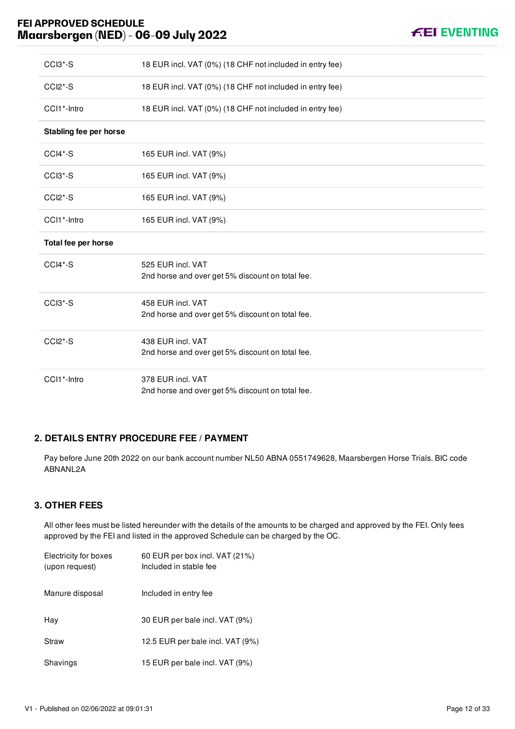# **FEI APPROVED SCHEDULE Maarsbergen (NED) - 06-09 July 2022**

| CCI3*-S                | 18 EUR incl. VAT (0%) (18 CHF not included in entry fee)              |
|------------------------|-----------------------------------------------------------------------|
| CCI2*-S                | 18 EUR incl. VAT (0%) (18 CHF not included in entry fee)              |
| CCI1*-Intro            | 18 EUR incl. VAT (0%) (18 CHF not included in entry fee)              |
| Stabling fee per horse |                                                                       |
| CCI4*-S                | 165 EUR incl. VAT (9%)                                                |
| CCI3*-S                | 165 EUR incl. VAT (9%)                                                |
| CCI <sub>2</sub> *-S   | 165 EUR incl. VAT (9%)                                                |
| CCI1*-Intro            | 165 EUR incl. VAT (9%)                                                |
| Total fee per horse    |                                                                       |
| CCI4*-S                | 525 EUR incl. VAT<br>2nd horse and over get 5% discount on total fee. |
| CCI3*-S                | 458 EUR incl. VAT<br>2nd horse and over get 5% discount on total fee. |
| $CCI2*-S$              | 438 EUR incl. VAT<br>2nd horse and over get 5% discount on total fee. |
| CCI1*-Intro            | 378 EUR incl. VAT<br>2nd horse and over get 5% discount on total fee. |

# <span id="page-12-0"></span>**2. DETAILS ENTRY PROCEDURE FEE / PAYMENT**

Pay before June 20th 2022 on our bank account number NL50 ABNA 0551749628, Maarsbergen Horse Trials. BIC code ABNANL2A

# <span id="page-12-1"></span>**3. OTHER FEES**

All other fees must be listed hereunder with the details of the amounts to be charged and approved by the FEI. Only fees approved by the FEI and listed in the approved Schedule can be charged by the OC.

| Electricity for boxes<br>(upon request) | 60 EUR per box incl. VAT (21%)<br>Included in stable fee |
|-----------------------------------------|----------------------------------------------------------|
| Manure disposal                         | Included in entry fee                                    |
| Hav                                     | 30 EUR per bale incl. VAT (9%)                           |
| Straw                                   | 12.5 EUR per bale incl. VAT (9%)                         |
| Shavings                                | 15 EUR per bale incl. VAT (9%)                           |

**FEI EVENTING**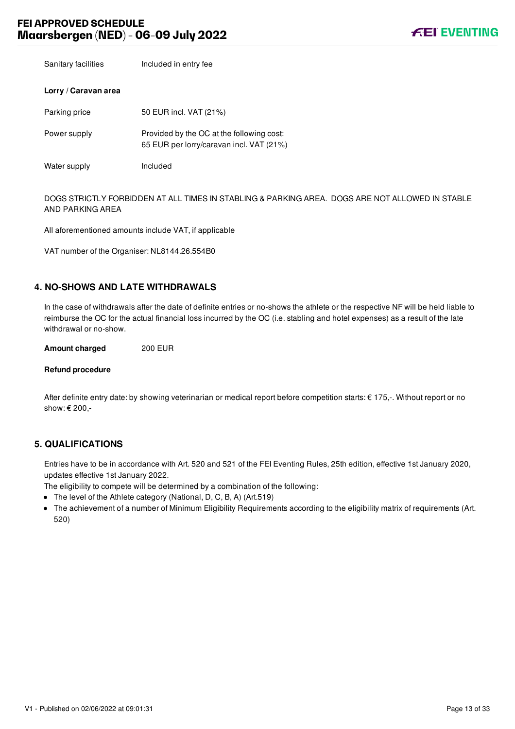Sanitary facilities **Included in entry fee** 

# **Lorry / Caravan area**

| Parking price | 50 EUR incl. VAT (21%)                                                                |
|---------------|---------------------------------------------------------------------------------------|
| Power supply  | Provided by the OC at the following cost:<br>65 EUR per lorry/caravan incl. VAT (21%) |

Water supply **Included** 

DOGS STRICTLY FORBIDDEN AT ALL TIMES IN STABLING & PARKING AREA. DOGS ARE NOT ALLOWED IN STABLE AND PARKING AREA

All aforementioned amounts include VAT, if applicable

VAT number of the Organiser: NL8144.26.554B0

# <span id="page-13-0"></span>**4. NO-SHOWS AND LATE WITHDRAWALS**

In the case of withdrawals after the date of definite entries or no-shows the athlete or the respective NF will be held liable to reimburse the OC for the actual financial loss incurred by the OC (i.e. stabling and hotel expenses) as a result of the late withdrawal or no-show.

**Amount charged** 200 EUR

#### **Refund procedure**

After definite entry date: by showing veterinarian or medical report before competition starts: € 175,-. Without report or no show: € 200,-

## <span id="page-13-1"></span>**5. QUALIFICATIONS**

Entries have to be in accordance with Art. 520 and 521 of the FEI Eventing Rules, 25th edition, effective 1st January 2020, updates effective 1st January 2022.

The eligibility to compete will be determined by a combination of the following:

- The level of the Athlete category (National, D, C, B, A) (Art.519)
- The achievement of a number of Minimum Eligibility Requirements according to the eligibility matrix of requirements (Art. 520)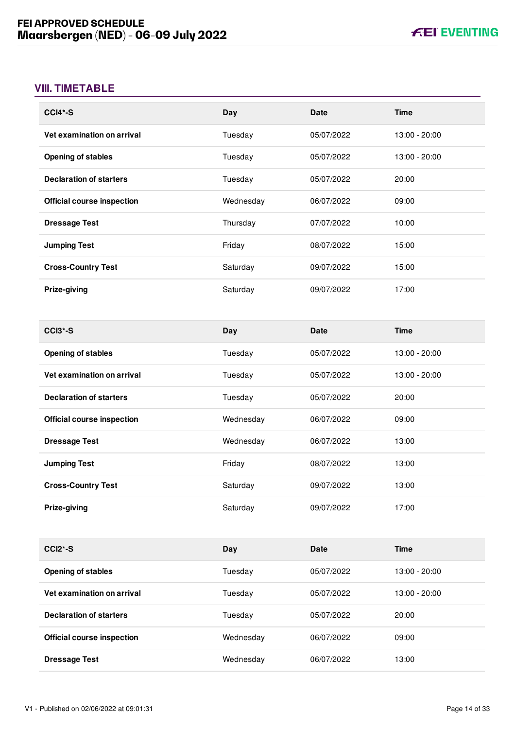# <span id="page-14-0"></span>**VIII. TIMETABLE**

| $CCI4*-S$                         | Day       | <b>Date</b> | Time          |
|-----------------------------------|-----------|-------------|---------------|
| Vet examination on arrival        | Tuesday   | 05/07/2022  | 13:00 - 20:00 |
| <b>Opening of stables</b>         | Tuesday   | 05/07/2022  | 13:00 - 20:00 |
| <b>Declaration of starters</b>    | Tuesday   | 05/07/2022  | 20:00         |
| <b>Official course inspection</b> | Wednesday | 06/07/2022  | 09:00         |
| <b>Dressage Test</b>              | Thursday  | 07/07/2022  | 10:00         |
| <b>Jumping Test</b>               | Friday    | 08/07/2022  | 15:00         |
| <b>Cross-Country Test</b>         | Saturday  | 09/07/2022  | 15:00         |
| Prize-giving                      | Saturday  | 09/07/2022  | 17:00         |

| CCI <sub>3</sub> *-S              | Day       | <b>Date</b> | <b>Time</b>   |
|-----------------------------------|-----------|-------------|---------------|
| <b>Opening of stables</b>         | Tuesdav   | 05/07/2022  | 13:00 - 20:00 |
| Vet examination on arrival        | Tuesdav   | 05/07/2022  | 13:00 - 20:00 |
| <b>Declaration of starters</b>    | Tuesday   | 05/07/2022  | 20:00         |
| <b>Official course inspection</b> | Wednesday | 06/07/2022  | 09:00         |
| <b>Dressage Test</b>              | Wednesday | 06/07/2022  | 13:00         |
| <b>Jumping Test</b>               | Friday    | 08/07/2022  | 13:00         |
| <b>Cross-Country Test</b>         | Saturday  | 09/07/2022  | 13:00         |
| <b>Prize-giving</b>               | Saturday  | 09/07/2022  | 17:00         |

| $CCI2*-S$                         | Day       | Date       | <b>Time</b>     |
|-----------------------------------|-----------|------------|-----------------|
| <b>Opening of stables</b>         | Tuesdav   | 05/07/2022 | $13:00 - 20:00$ |
| Vet examination on arrival        | Tuesday   | 05/07/2022 | $13:00 - 20:00$ |
| <b>Declaration of starters</b>    | Tuesdav   | 05/07/2022 | 20:00           |
| <b>Official course inspection</b> | Wednesday | 06/07/2022 | 09:00           |
| <b>Dressage Test</b>              | Wednesday | 06/07/2022 | 13:00           |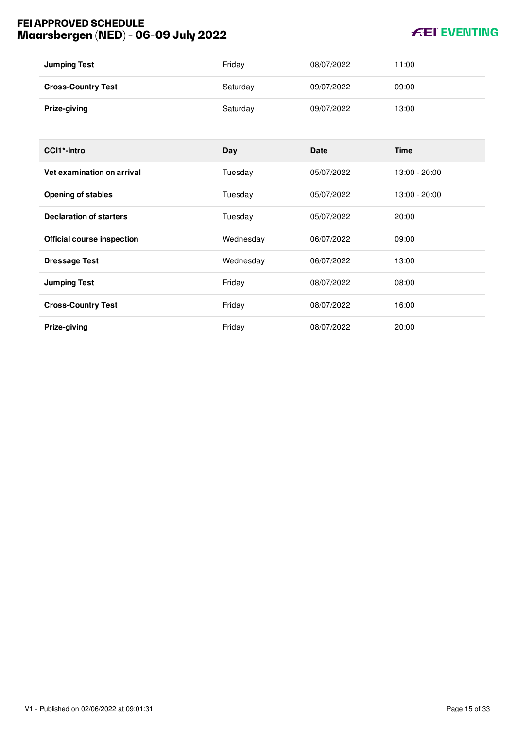# **FEI APPROVED SCHEDULE Maarsbergen (NED) - 06-09 July 2022**

# **KEI EVENTING**

| <b>Jumping Test</b>               | Friday    | 08/07/2022  | 11:00         |
|-----------------------------------|-----------|-------------|---------------|
| <b>Cross-Country Test</b>         | Saturday  | 09/07/2022  | 09:00         |
| Prize-giving                      | Saturday  | 09/07/2022  | 13:00         |
|                                   |           |             |               |
| CCI1*-Intro                       | Day       | <b>Date</b> | <b>Time</b>   |
| Vet examination on arrival        | Tuesday   | 05/07/2022  | 13:00 - 20:00 |
| <b>Opening of stables</b>         | Tuesday   | 05/07/2022  | 13:00 - 20:00 |
| <b>Declaration of starters</b>    | Tuesday   | 05/07/2022  | 20:00         |
| <b>Official course inspection</b> | Wednesday | 06/07/2022  | 09:00         |
| <b>Dressage Test</b>              | Wednesday | 06/07/2022  | 13:00         |
| <b>Jumping Test</b>               | Friday    | 08/07/2022  | 08:00         |
| <b>Cross-Country Test</b>         | Friday    | 08/07/2022  | 16:00         |
| Prize-giving                      | Friday    | 08/07/2022  | 20:00         |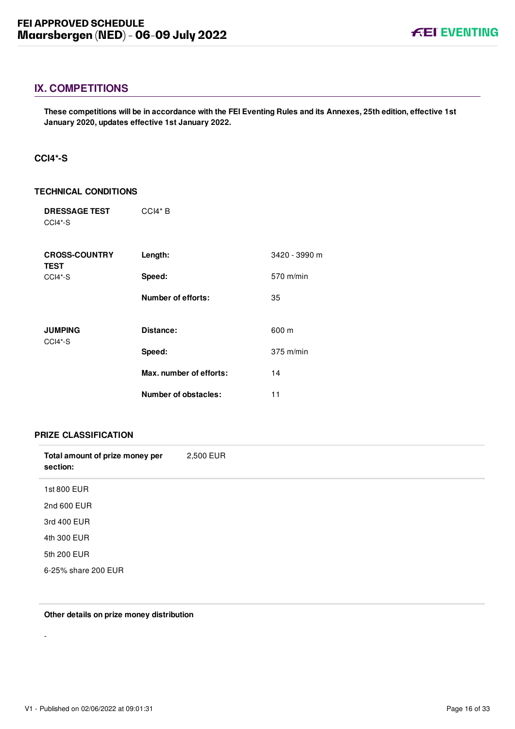# <span id="page-16-0"></span>**IX. COMPETITIONS**

**These competitions will be in accordance with the FEI Eventing Rules and its Annexes, 25th edition, effective 1st January 2020, updates effective 1st January 2022.**

## <span id="page-16-1"></span>**CCI4\*-S**

#### **TECHNICAL CONDITIONS**

| <b>DRESSAGE TEST</b><br>CCI4*-S     | $CCH* B$                  |               |
|-------------------------------------|---------------------------|---------------|
| <b>CROSS-COUNTRY</b><br><b>TEST</b> | Length:                   | 3420 - 3990 m |
| CCI4*-S                             | Speed:                    | 570 m/min     |
|                                     | <b>Number of efforts:</b> | 35            |
|                                     | Distance:                 |               |
| <b>JUMPING</b><br>CCI4*-S           |                           | 600 m         |
|                                     | Speed:                    | $375$ m/min   |
|                                     | Max. number of efforts:   | 14            |
|                                     | Number of obstacles:      | 11            |

#### **PRIZE CLASSIFICATION**

| Total amount of prize money per<br>section: | 2,500 EUR |
|---------------------------------------------|-----------|
| 1st 800 EUR                                 |           |
| 2nd 600 EUR                                 |           |
| 3rd 400 EUR                                 |           |
| 4th 300 EUR                                 |           |
| 5th 200 EUR                                 |           |
| 6-25% share 200 EUR                         |           |

#### **Other details on prize money distribution**

-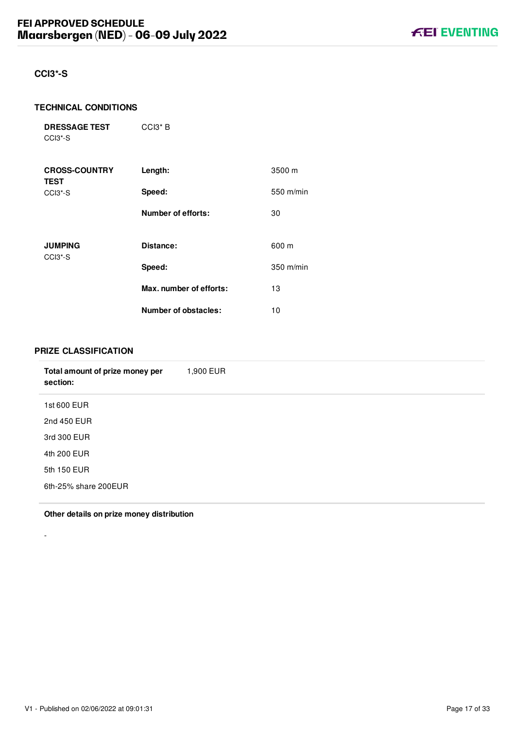# <span id="page-17-0"></span>**CCI3\*-S**

#### **TECHNICAL CONDITIONS**

**DRESSAGE TEST** CCI3\*-S

| <b>CROSS-COUNTRY</b><br><b>TEST</b>                | Length:                   | 3500 m      |
|----------------------------------------------------|---------------------------|-------------|
| CCI <sub>3</sub> <sup>*</sup> -S                   | Speed:                    | 550 m/min   |
|                                                    | <b>Number of efforts:</b> | 30          |
| <b>JUMPING</b><br>CCI <sub>3</sub> <sup>*</sup> -S | Distance:                 | 600 m       |
|                                                    | Speed:                    | $350$ m/min |
|                                                    | Max. number of efforts:   | 13          |
|                                                    | Number of obstacles:      | 10          |

CCI3\* B

# **PRIZE CLASSIFICATION**

-

| Total amount of prize money per<br>section: | 1,900 EUR |
|---------------------------------------------|-----------|
| 1st 600 EUR                                 |           |
| 2nd 450 EUR                                 |           |
| 3rd 300 EUR                                 |           |
| 4th 200 EUR                                 |           |
| 5th 150 EUR                                 |           |
| 6th-25% share 200EUR                        |           |
|                                             |           |

**Other details on prize money distribution**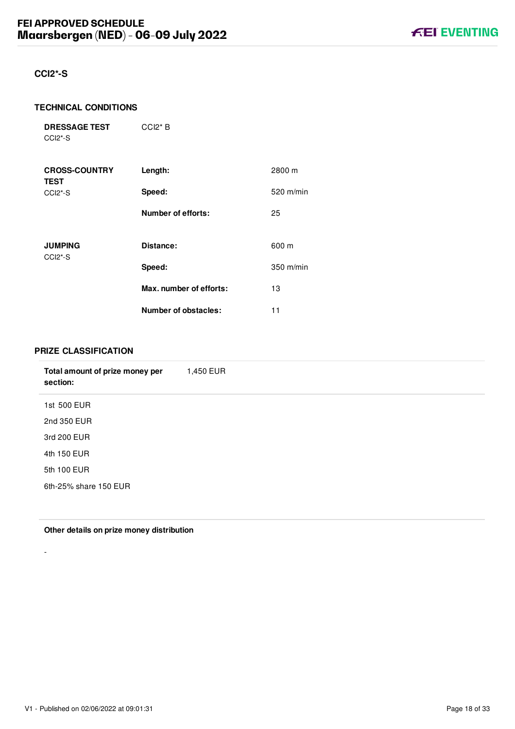# <span id="page-18-0"></span>**CCI2\*-S**

#### **TECHNICAL CONDITIONS**

**DRESSAGE TEST** CCI2\*-S

| <b>CROSS-COUNTRY</b><br><b>TEST</b>                | Length:                   | 2800 m      |
|----------------------------------------------------|---------------------------|-------------|
| CCI <sub>2</sub> <sup>*</sup> -S                   | Speed:                    | $520$ m/min |
|                                                    | <b>Number of efforts:</b> | 25          |
| <b>JUMPING</b><br>CCI <sub>2</sub> <sup>*</sup> -S | Distance:                 | 600 m       |
|                                                    | Speed:                    | 350 m/min   |
|                                                    | Max. number of efforts:   | 13          |
|                                                    | Number of obstacles:      | 11          |

CCI2\* B

# **PRIZE CLASSIFICATION**

| Total amount of prize money per<br>section: | 1,450 EUR |
|---------------------------------------------|-----------|
| 1st 500 EUR                                 |           |
| 2nd 350 EUR                                 |           |
| 3rd 200 EUR                                 |           |
| 4th 150 EUR                                 |           |
| 5th 100 EUR                                 |           |
| 6th-25% share 150 EUR                       |           |
|                                             |           |

**Other details on prize money distribution**

-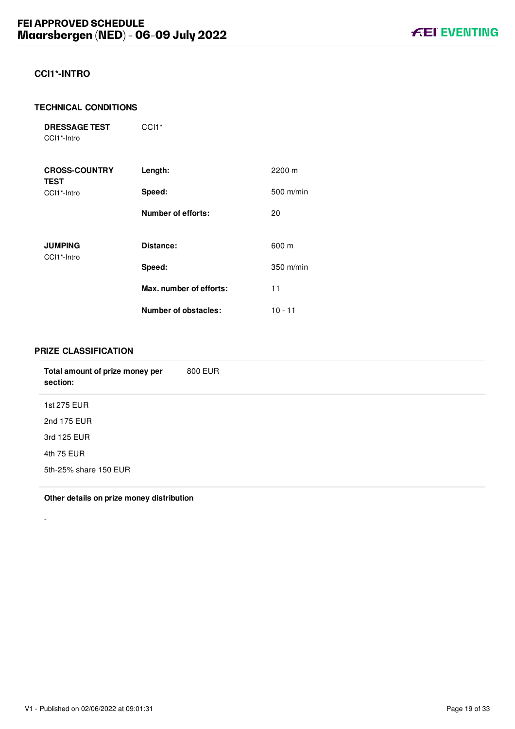# <span id="page-19-0"></span>**CCI1\*-INTRO**

#### **TECHNICAL CONDITIONS**

**DRESSAGE TEST** CCI1\*-Intro

CCI<sub>1</sub>\*

| <b>CROSS-COUNTRY</b><br><b>TEST</b> | Length:                   | 2200 m      |
|-------------------------------------|---------------------------|-------------|
| CCI1*-Intro                         | Speed:                    | 500 m/min   |
|                                     | <b>Number of efforts:</b> | 20          |
| <b>JUMPING</b><br>CCI1*-Intro       | Distance:                 | 600 m       |
|                                     | Speed:                    | $350$ m/min |
|                                     | Max. number of efforts:   | 11          |
|                                     | Number of obstacles:      | $10 - 11$   |

## **PRIZE CLASSIFICATION**

-

| 800 EUR |
|---------|
|         |
|         |
|         |
|         |
|         |
|         |

**Other details on prize money distribution**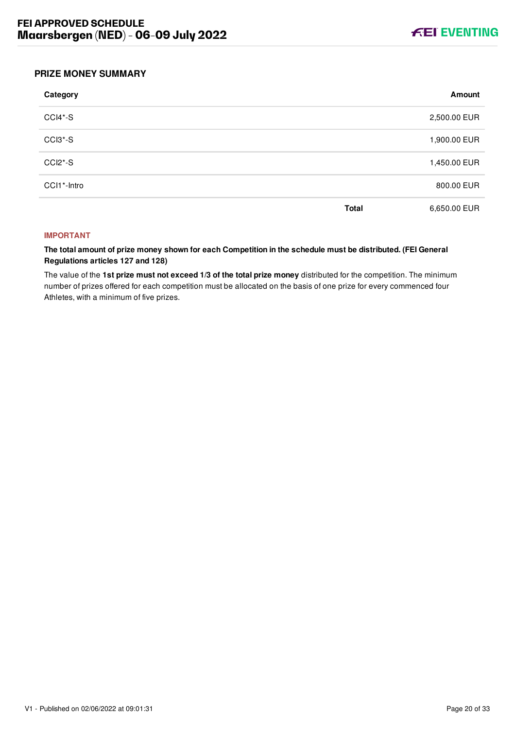

## <span id="page-20-0"></span>**PRIZE MONEY SUMMARY**

| Category    |              | Amount       |
|-------------|--------------|--------------|
| CCI4*-S     |              | 2,500.00 EUR |
| CCI3*-S     |              | 1,900.00 EUR |
| CCI2*-S     |              | 1,450.00 EUR |
| CCI1*-Intro |              | 800.00 EUR   |
|             | <b>Total</b> | 6,650.00 EUR |

#### **IMPORTANT**

**The total amount of prize money shown for each Competition in the schedule must be distributed. (FEI General Regulations articles 127 and 128)**

The value of the **1st prize must not exceed 1/3 of the total prize money** distributed for the competition. The minimum number of prizes offered for each competition must be allocated on the basis of one prize for every commenced four Athletes, with a minimum of five prizes.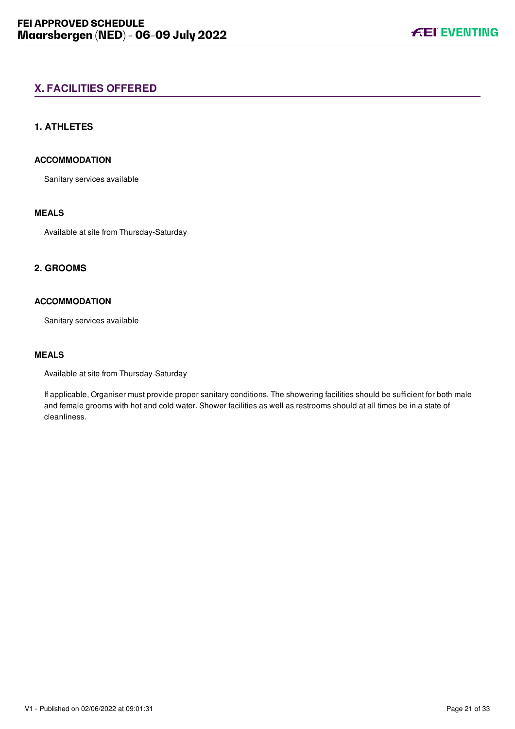# <span id="page-21-0"></span>**X. FACILITIES OFFERED**

# <span id="page-21-1"></span>**1. ATHLETES**

# **ACCOMMODATION**

Sanitary services available

# **MEALS**

Available at site from Thursday-Saturday

# <span id="page-21-2"></span>**2. GROOMS**

# **ACCOMMODATION**

Sanitary services available

# **MEALS**

Available at site from Thursday-Saturday

If applicable, Organiser must provide proper sanitary conditions. The showering facilities should be sufficient for both male and female grooms with hot and cold water. Shower facilities as well as restrooms should at all times be in a state of cleanliness.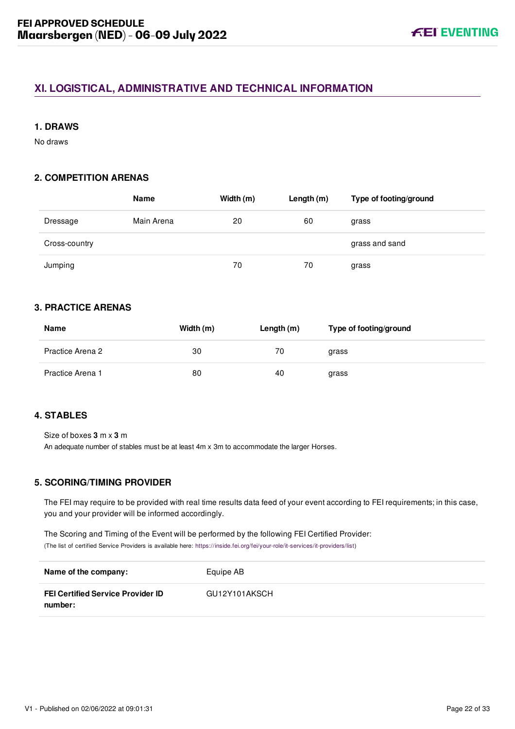# <span id="page-22-0"></span>**XI. LOGISTICAL, ADMINISTRATIVE AND TECHNICAL INFORMATION**

# <span id="page-22-1"></span>**1. DRAWS**

No draws

# <span id="page-22-2"></span>**2. COMPETITION ARENAS**

|               | Name       | Width (m) | Length $(m)$ | Type of footing/ground |
|---------------|------------|-----------|--------------|------------------------|
| Dressage      | Main Arena | 20        | 60           | grass                  |
| Cross-country |            |           |              | grass and sand         |
| Jumping       |            | 70        | 70           | grass                  |

# <span id="page-22-3"></span>**3. PRACTICE ARENAS**

| Name             | Width (m) | Length (m) | Type of footing/ground |
|------------------|-----------|------------|------------------------|
| Practice Arena 2 | 30        | 70         | grass                  |
| Practice Arena 1 | 80        | 40         | grass                  |

## <span id="page-22-4"></span>**4. STABLES**

Size of boxes **3** m x **3** m

An adequate number of stables must be at least 4m x 3m to accommodate the larger Horses.

# <span id="page-22-5"></span>**5. SCORING/TIMING PROVIDER**

The FEI may require to be provided with real time results data feed of your event according to FEI requirements; in this case, you and your provider will be informed accordingly.

The Scoring and Timing of the Event will be performed by the following FEI Certified Provider: (The list of certified Service Providers is available here: [https://inside.fei.org/fei/your-role/it-services/it-providers/list\)](https://inside.fei.org/fei/your-role/it-services/it-providers/list)

| Name of the company:                                | Equipe AB     |
|-----------------------------------------------------|---------------|
| <b>FEI Certified Service Provider ID</b><br>number: | GU12Y101AKSCH |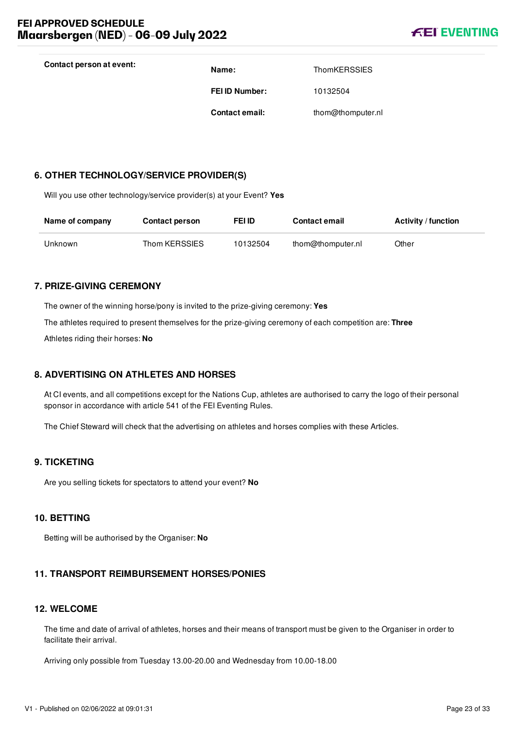

| Contact person at event: | Name:                 | <b>ThomKERSSIES</b> |
|--------------------------|-----------------------|---------------------|
|                          | <b>FEI ID Number:</b> | 10132504            |
|                          | <b>Contact email:</b> | thom@thomputer.nl   |

## <span id="page-23-0"></span>**6. OTHER TECHNOLOGY/SERVICE PROVIDER(S)**

Will you use other technology/service provider(s) at your Event? **Yes**

| Name of company | <b>Contact person</b> | FEI ID   | <b>Contact email</b> | <b>Activity / function</b> |
|-----------------|-----------------------|----------|----------------------|----------------------------|
| Unknown         | Thom KERSSIES         | 10132504 | thom@thomputer.nl    | Other                      |

#### <span id="page-23-1"></span>**7. PRIZE-GIVING CEREMONY**

The owner of the winning horse/pony is invited to the prize-giving ceremony: **Yes**

The athletes required to present themselves for the prize-giving ceremony of each competition are: **Three**

Athletes riding their horses: **No**

## <span id="page-23-2"></span>**8. ADVERTISING ON ATHLETES AND HORSES**

At CI events, and all competitions except for the Nations Cup, athletes are authorised to carry the logo of their personal sponsor in accordance with article 541 of the FEI Eventing Rules.

The Chief Steward will check that the advertising on athletes and horses complies with these Articles.

## <span id="page-23-3"></span>**9. TICKETING**

Are you selling tickets for spectators to attend your event? **No**

#### <span id="page-23-4"></span>**10. BETTING**

Betting will be authorised by the Organiser: **No**

## <span id="page-23-5"></span>**11. TRANSPORT REIMBURSEMENT HORSES/PONIES**

## <span id="page-23-6"></span>**12. WELCOME**

The time and date of arrival of athletes, horses and their means of transport must be given to the Organiser in order to facilitate their arrival.

Arriving only possible from Tuesday 13.00-20.00 and Wednesday from 10.00-18.00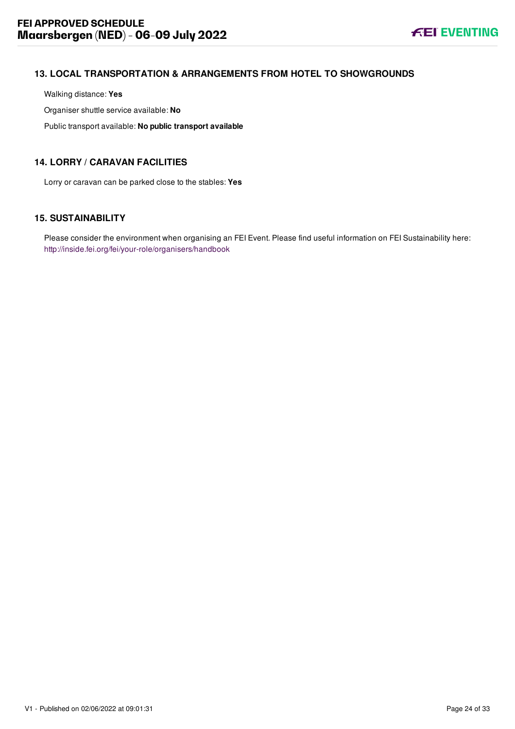# <span id="page-24-0"></span>**13. LOCAL TRANSPORTATION & ARRANGEMENTS FROM HOTEL TO SHOWGROUNDS**

Walking distance: **Yes**

Organiser shuttle service available: **No**

Public transport available: **No public transport available**

# <span id="page-24-1"></span>**14. LORRY / CARAVAN FACILITIES**

Lorry or caravan can be parked close to the stables: **Yes**

# <span id="page-24-2"></span>**15. SUSTAINABILITY**

Please consider the environment when organising an FEI Event. Please find useful information on FEI Sustainability here: <http://inside.fei.org/fei/your-role/organisers/handbook>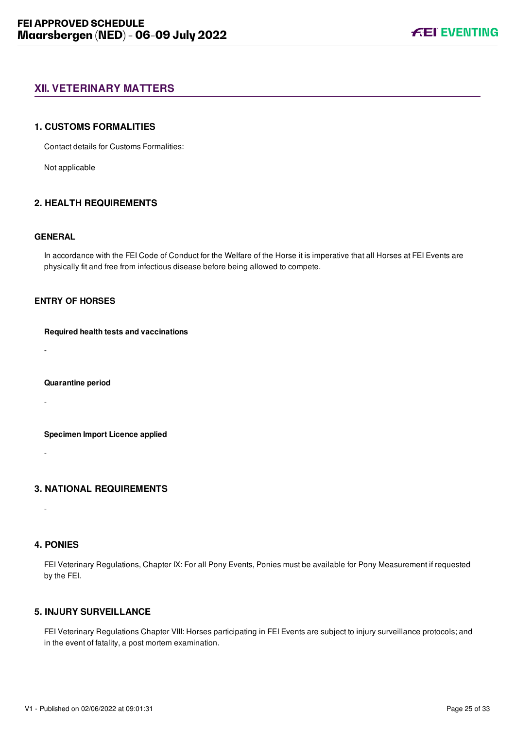# <span id="page-25-0"></span>**XII. VETERINARY MATTERS**

#### <span id="page-25-1"></span>**1. CUSTOMS FORMALITIES**

Contact details for Customs Formalities:

Not applicable

# <span id="page-25-2"></span>**2. HEALTH REQUIREMENTS**

#### **GENERAL**

In accordance with the FEI Code of Conduct for the Welfare of the Horse it is imperative that all Horses at FEI Events are physically fit and free from infectious disease before being allowed to compete.

# **ENTRY OF HORSES**

#### **Required health tests and vaccinations**

-

#### **Quarantine period**

-

#### **Specimen Import Licence applied**

-

# <span id="page-25-3"></span>**3. NATIONAL REQUIREMENTS**

## <span id="page-25-4"></span>**4. PONIES**

-

FEI Veterinary Regulations, Chapter IX: For all Pony Events, Ponies must be available for Pony Measurement if requested by the FEI.

# <span id="page-25-5"></span>**5. INJURY SURVEILLANCE**

FEI Veterinary Regulations Chapter VIII: Horses participating in FEI Events are subject to injury surveillance protocols; and in the event of fatality, a post mortem examination.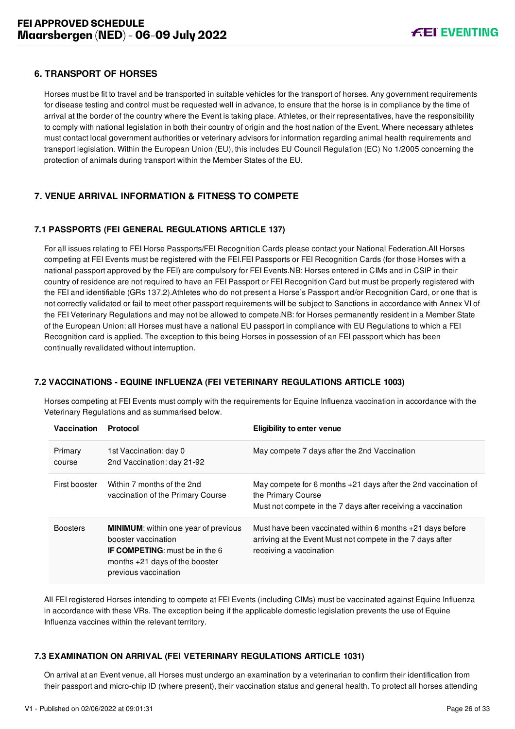# <span id="page-26-0"></span>**6. TRANSPORT OF HORSES**

Horses must be fit to travel and be transported in suitable vehicles for the transport of horses. Any government requirements for disease testing and control must be requested well in advance, to ensure that the horse is in compliance by the time of arrival at the border of the country where the Event is taking place. Athletes, or their representatives, have the responsibility to comply with national legislation in both their country of origin and the host nation of the Event. Where necessary athletes must contact local government authorities or veterinary advisors for information regarding animal health requirements and transport legislation. Within the European Union (EU), this includes EU Council Regulation (EC) No 1/2005 concerning the protection of animals during transport within the Member States of the EU.

# <span id="page-26-1"></span>**7. VENUE ARRIVAL INFORMATION & FITNESS TO COMPETE**

# <span id="page-26-2"></span>**7.1 PASSPORTS (FEI GENERAL REGULATIONS ARTICLE 137)**

For all issues relating to FEI Horse Passports/FEI Recognition Cards please contact your National Federation.All Horses competing at FEI Events must be registered with the FEI.FEI Passports or FEI Recognition Cards (for those Horses with a national passport approved by the FEI) are compulsory for FEI Events.NB: Horses entered in CIMs and in CSIP in their country of residence are not required to have an FEI Passport or FEI Recognition Card but must be properly registered with the FEI and identifiable (GRs 137.2).Athletes who do not present a Horse's Passport and/or Recognition Card, or one that is not correctly validated or fail to meet other passport requirements will be subject to Sanctions in accordance with Annex VI of the FEI Veterinary Regulations and may not be allowed to compete.NB: for Horses permanently resident in a Member State of the European Union: all Horses must have a national EU passport in compliance with EU Regulations to which a FEI Recognition card is applied. The exception to this being Horses in possession of an FEI passport which has been continually revalidated without interruption.

# <span id="page-26-3"></span>**7.2 VACCINATIONS - EQUINE INFLUENZA (FEI VETERINARY REGULATIONS ARTICLE 1003)**

Horses competing at FEI Events must comply with the requirements for Equine Influenza vaccination in accordance with the Veterinary Regulations and as summarised below.

| Vaccination       | Protocol                                                                                                                                                                | <b>Eligibility to enter venue</b>                                                                                                                      |
|-------------------|-------------------------------------------------------------------------------------------------------------------------------------------------------------------------|--------------------------------------------------------------------------------------------------------------------------------------------------------|
| Primary<br>course | 1st Vaccination: day 0<br>2nd Vaccination: day 21-92                                                                                                                    | May compete 7 days after the 2nd Vaccination                                                                                                           |
| First booster     | Within 7 months of the 2nd<br>vaccination of the Primary Course                                                                                                         | May compete for 6 months $+21$ days after the 2nd vaccination of<br>the Primary Course<br>Must not compete in the 7 days after receiving a vaccination |
| <b>Boosters</b>   | <b>MINIMUM:</b> within one year of previous<br>booster vaccination<br><b>IF COMPETING:</b> must be in the 6<br>months $+21$ days of the booster<br>previous vaccination | Must have been vaccinated within 6 months +21 days before<br>arriving at the Event Must not compete in the 7 days after<br>receiving a vaccination     |

All FEI registered Horses intending to compete at FEI Events (including CIMs) must be vaccinated against Equine Influenza in accordance with these VRs. The exception being if the applicable domestic legislation prevents the use of Equine Influenza vaccines within the relevant territory.

## <span id="page-26-4"></span>**7.3 EXAMINATION ON ARRIVAL (FEI VETERINARY REGULATIONS ARTICLE 1031)**

On arrival at an Event venue, all Horses must undergo an examination by a veterinarian to confirm their identification from their passport and micro-chip ID (where present), their vaccination status and general health. To protect all horses attending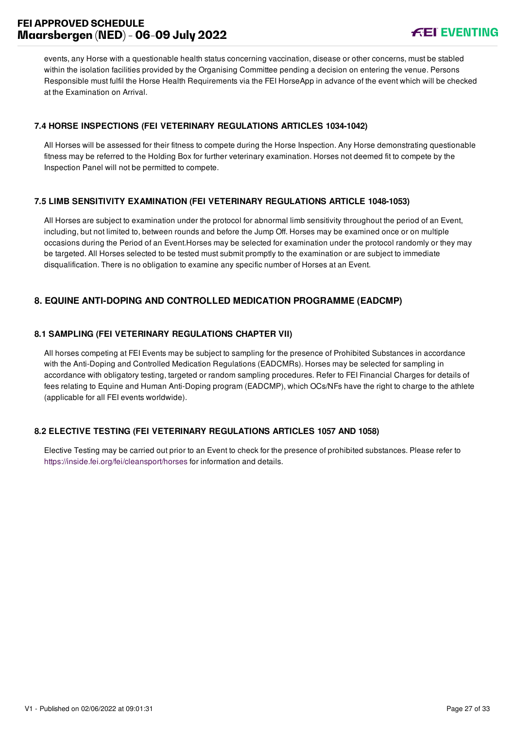# **FEI APPROVED SCHEDULE Maarsbergen (NED) - 06-09 July 2022**



events, any Horse with a questionable health status concerning vaccination, disease or other concerns, must be stabled within the isolation facilities provided by the Organising Committee pending a decision on entering the venue. Persons Responsible must fulfil the Horse Health Requirements via the FEI HorseApp in advance of the event which will be checked at the Examination on Arrival.

# <span id="page-27-0"></span>**7.4 HORSE INSPECTIONS (FEI VETERINARY REGULATIONS ARTICLES 1034-1042)**

All Horses will be assessed for their fitness to compete during the Horse Inspection. Any Horse demonstrating questionable fitness may be referred to the Holding Box for further veterinary examination. Horses not deemed fit to compete by the Inspection Panel will not be permitted to compete.

# <span id="page-27-1"></span>**7.5 LIMB SENSITIVITY EXAMINATION (FEI VETERINARY REGULATIONS ARTICLE 1048-1053)**

All Horses are subject to examination under the protocol for abnormal limb sensitivity throughout the period of an Event, including, but not limited to, between rounds and before the Jump Off. Horses may be examined once or on multiple occasions during the Period of an Event.Horses may be selected for examination under the protocol randomly or they may be targeted. All Horses selected to be tested must submit promptly to the examination or are subject to immediate disqualification. There is no obligation to examine any specific number of Horses at an Event.

# <span id="page-27-2"></span>**8. EQUINE ANTI-DOPING AND CONTROLLED MEDICATION PROGRAMME (EADCMP)**

# <span id="page-27-3"></span>**8.1 SAMPLING (FEI VETERINARY REGULATIONS CHAPTER VII)**

All horses competing at FEI Events may be subject to sampling for the presence of Prohibited Substances in accordance with the Anti-Doping and Controlled Medication Regulations (EADCMRs). Horses may be selected for sampling in accordance with obligatory testing, targeted or random sampling procedures. Refer to FEI Financial Charges for details of fees relating to Equine and Human Anti-Doping program (EADCMP), which OCs/NFs have the right to charge to the athlete (applicable for all FEI events worldwide).

## <span id="page-27-4"></span>**8.2 ELECTIVE TESTING (FEI VETERINARY REGULATIONS ARTICLES 1057 AND 1058)**

Elective Testing may be carried out prior to an Event to check for the presence of prohibited substances. Please refer to <https://inside.fei.org/fei/cleansport/horses>for information and details.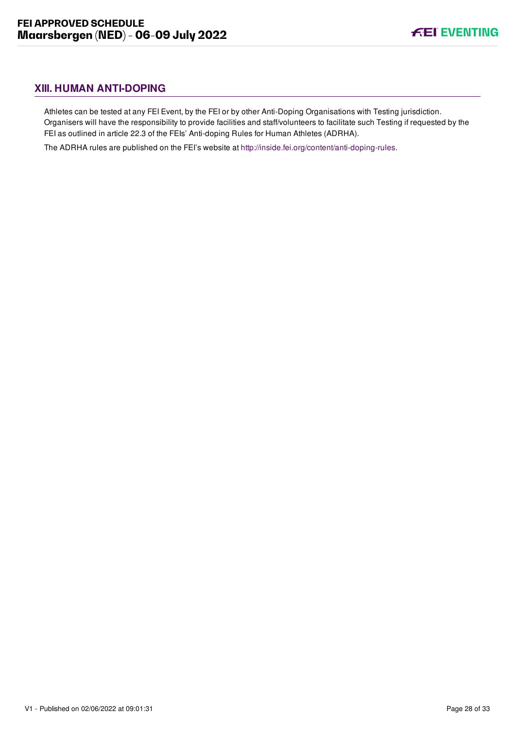# <span id="page-28-0"></span>**XIII. HUMAN ANTI-DOPING**

Athletes can be tested at any FEI Event, by the FEI or by other Anti-Doping Organisations with Testing jurisdiction. Organisers will have the responsibility to provide facilities and staff/volunteers to facilitate such Testing if requested by the FEI as outlined in article 22.3 of the FEIs' Anti-doping Rules for Human Athletes (ADRHA).

The ADRHA rules are published on the FEI's website at [http://inside.fei.org/content/anti-doping-rules.](http://inside.fei.org/content/anti-doping-rules)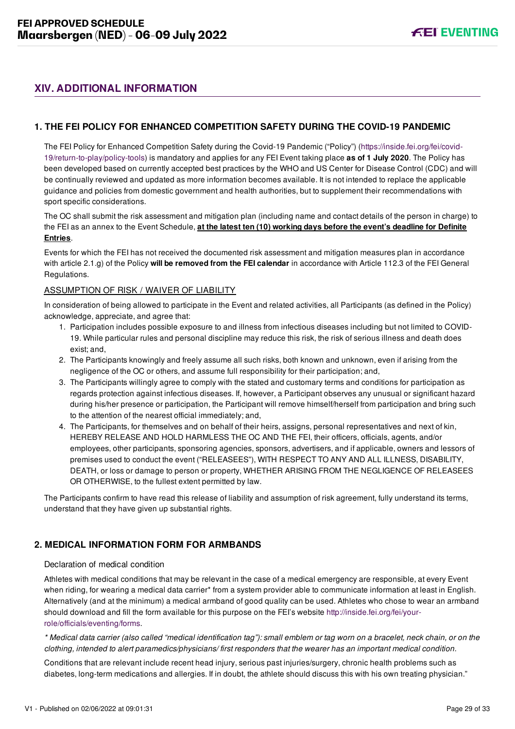# <span id="page-29-0"></span>**XIV. ADDITIONAL INFORMATION**

# <span id="page-29-1"></span>**1. THE FEI POLICY FOR ENHANCED COMPETITION SAFETY DURING THE COVID-19 PANDEMIC**

[The FEI Policy for Enhanced Competition Safety during the Covid-19 Pandemic \("Policy"\) \(https://inside.fei.org/fei/covid-](https://inside.fei.org/fei/covid-19/return-to-play/policy-tools)19/return-to-play/policy-tools) is mandatory and applies for any FEI Event taking place **as of 1 July 2020**. The Policy has been developed based on currently accepted best practices by the WHO and US Center for Disease Control (CDC) and will be continually reviewed and updated as more information becomes available. It is not intended to replace the applicable guidance and policies from domestic government and health authorities, but to supplement their recommendations with sport specific considerations.

The OC shall submit the risk assessment and mitigation plan (including name and contact details of the person in charge) to the FEI as an annex to the Event Schedule, **at the latest ten (10) working days before the event's deadline for Definite Entries**.

Events for which the FEI has not received the documented risk assessment and mitigation measures plan in accordance with article 2.1.g) of the Policy **will be removed from the FEI calendar** in accordance with Article 112.3 of the FEI General Regulations.

#### ASSUMPTION OF RISK / WAIVER OF LIABILITY

In consideration of being allowed to participate in the Event and related activities, all Participants (as defined in the Policy) acknowledge, appreciate, and agree that:

- 1. Participation includes possible exposure to and illness from infectious diseases including but not limited to COVID-19. While particular rules and personal discipline may reduce this risk, the risk of serious illness and death does exist; and,
- 2. The Participants knowingly and freely assume all such risks, both known and unknown, even if arising from the negligence of the OC or others, and assume full responsibility for their participation; and,
- 3. The Participants willingly agree to comply with the stated and customary terms and conditions for participation as regards protection against infectious diseases. If, however, a Participant observes any unusual or significant hazard during his/her presence or participation, the Participant will remove himself/herself from participation and bring such to the attention of the nearest official immediately; and,
- 4. The Participants, for themselves and on behalf of their heirs, assigns, personal representatives and next of kin, HEREBY RELEASE AND HOLD HARMLESS THE OC AND THE FEI, their officers, officials, agents, and/or employees, other participants, sponsoring agencies, sponsors, advertisers, and if applicable, owners and lessors of premises used to conduct the event ("RELEASEES"), WITH RESPECT TO ANY AND ALL ILLNESS, DISABILITY, DEATH, or loss or damage to person or property, WHETHER ARISING FROM THE NEGLIGENCE OF RELEASEES OR OTHERWISE, to the fullest extent permitted by law.

The Participants confirm to have read this release of liability and assumption of risk agreement, fully understand its terms, understand that they have given up substantial rights.

# <span id="page-29-2"></span>**2. MEDICAL INFORMATION FORM FOR ARMBANDS**

#### Declaration of medical condition

Athletes with medical conditions that may be relevant in the case of a medical emergency are responsible, at every Event when riding, for wearing a medical data carrier\* from a system provider able to communicate information at least in English. Alternatively (and at the minimum) a medical armband of good quality can be used. Athletes who chose to wear an armband [should download and fill the form available for this purpose on the FEI's website http://inside.fei.org/fei/your](http://inside.fei.org/fei/your-role/officials/eventing/forms)role/officials/eventing/forms.

*\* Medical data carrier (also called "medical identification tag"): small emblem or tag worn on a bracelet, neck chain, or on the clothing, intended to alert paramedics/physicians/ first responders that the wearer has an important medical condition.*

Conditions that are relevant include recent head injury, serious past injuries/surgery, chronic health problems such as diabetes, long-term medications and allergies. If in doubt, the athlete should discuss this with his own treating physician."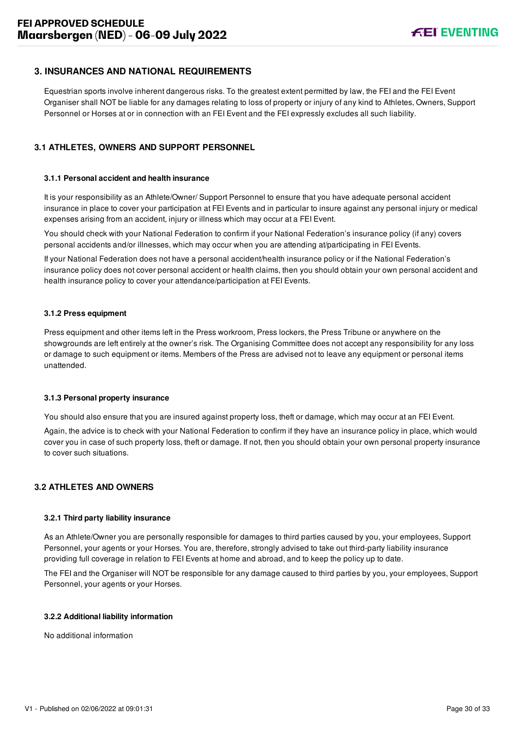# <span id="page-30-0"></span>**3. INSURANCES AND NATIONAL REQUIREMENTS**

Equestrian sports involve inherent dangerous risks. To the greatest extent permitted by law, the FEI and the FEI Event Organiser shall NOT be liable for any damages relating to loss of property or injury of any kind to Athletes, Owners, Support Personnel or Horses at or in connection with an FEI Event and the FEI expressly excludes all such liability.

# <span id="page-30-1"></span>**3.1 ATHLETES, OWNERS AND SUPPORT PERSONNEL**

#### **3.1.1 Personal accident and health insurance**

It is your responsibility as an Athlete/Owner/ Support Personnel to ensure that you have adequate personal accident insurance in place to cover your participation at FEI Events and in particular to insure against any personal injury or medical expenses arising from an accident, injury or illness which may occur at a FEI Event.

You should check with your National Federation to confirm if your National Federation's insurance policy (if any) covers personal accidents and/or illnesses, which may occur when you are attending at/participating in FEI Events.

If your National Federation does not have a personal accident/health insurance policy or if the National Federation's insurance policy does not cover personal accident or health claims, then you should obtain your own personal accident and health insurance policy to cover your attendance/participation at FEI Events.

#### **3.1.2 Press equipment**

Press equipment and other items left in the Press workroom, Press lockers, the Press Tribune or anywhere on the showgrounds are left entirely at the owner's risk. The Organising Committee does not accept any responsibility for any loss or damage to such equipment or items. Members of the Press are advised not to leave any equipment or personal items unattended.

#### **3.1.3 Personal property insurance**

You should also ensure that you are insured against property loss, theft or damage, which may occur at an FEI Event.

Again, the advice is to check with your National Federation to confirm if they have an insurance policy in place, which would cover you in case of such property loss, theft or damage. If not, then you should obtain your own personal property insurance to cover such situations.

#### <span id="page-30-2"></span>**3.2 ATHLETES AND OWNERS**

#### **3.2.1 Third party liability insurance**

As an Athlete/Owner you are personally responsible for damages to third parties caused by you, your employees, Support Personnel, your agents or your Horses. You are, therefore, strongly advised to take out third-party liability insurance providing full coverage in relation to FEI Events at home and abroad, and to keep the policy up to date.

The FEI and the Organiser will NOT be responsible for any damage caused to third parties by you, your employees, Support Personnel, your agents or your Horses.

#### **3.2.2 Additional liability information**

No additional information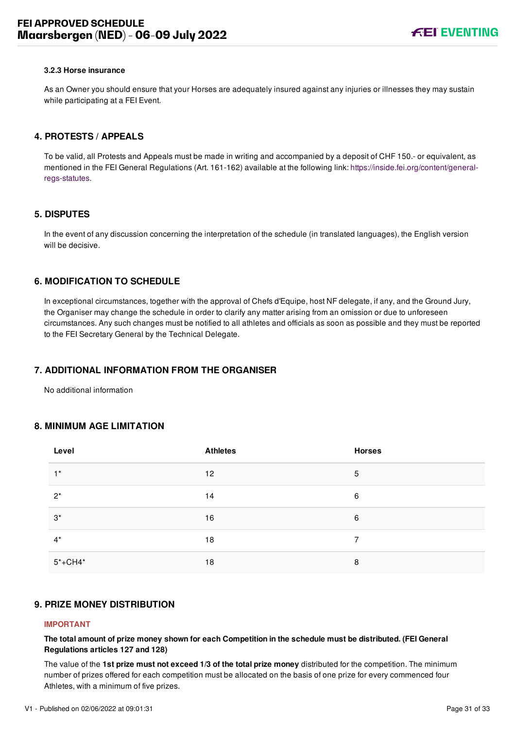#### **3.2.3 Horse insurance**

As an Owner you should ensure that your Horses are adequately insured against any injuries or illnesses they may sustain while participating at a FEI Event.

#### <span id="page-31-0"></span>**4. PROTESTS / APPEALS**

To be valid, all Protests and Appeals must be made in writing and accompanied by a deposit of CHF 150.- or equivalent, as [mentioned in the FEI General Regulations \(Art. 161-162\) available at the following link: https://inside.fei.org/content/general](https://inside.fei.org/content/general-regs-statutes)regs-statutes.

#### <span id="page-31-1"></span>**5. DISPUTES**

In the event of any discussion concerning the interpretation of the schedule (in translated languages), the English version will be decisive.

# <span id="page-31-2"></span>**6. MODIFICATION TO SCHEDULE**

In exceptional circumstances, together with the approval of Chefs d'Equipe, host NF delegate, if any, and the Ground Jury, the Organiser may change the schedule in order to clarify any matter arising from an omission or due to unforeseen circumstances. Any such changes must be notified to all athletes and officials as soon as possible and they must be reported to the FEI Secretary General by the Technical Delegate.

## <span id="page-31-3"></span>**7. ADDITIONAL INFORMATION FROM THE ORGANISER**

No additional information

#### <span id="page-31-4"></span>**8. MINIMUM AGE LIMITATION**

| Level       | <b>Athletes</b> | <b>Horses</b> |
|-------------|-----------------|---------------|
| $1^*$       | 12              | 5             |
| $2^*$       | 14              | 6             |
| $3^*$       | 16              | 6             |
| $4^*$       | 18              | 7             |
| $5* + CH4*$ | 18              | 8             |

#### <span id="page-31-5"></span>**9. PRIZE MONEY DISTRIBUTION**

#### **IMPORTANT**

**The total amount of prize money shown for each Competition in the schedule must be distributed. (FEI General Regulations articles 127 and 128)**

The value of the **1st prize must not exceed 1/3 of the total prize money** distributed for the competition. The minimum number of prizes offered for each competition must be allocated on the basis of one prize for every commenced four Athletes, with a minimum of five prizes.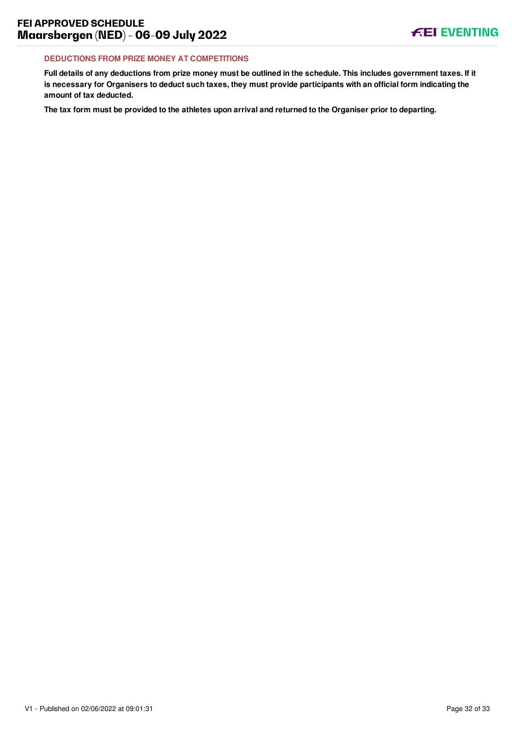#### **DEDUCTIONS FROM PRIZE MONEY AT COMPETITIONS**

**Full details of any deductions from prize money must be outlined in the schedule. This includes government taxes. If it is necessary for Organisers to deduct such taxes, they must provide participants with an official form indicating the amount of tax deducted.**

**The tax form must be provided to the athletes upon arrival and returned to the Organiser prior to departing.**